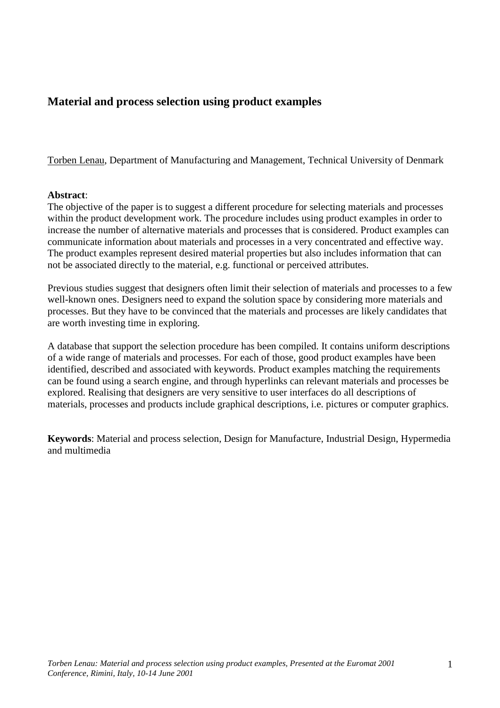# **Material and process selection using product examples**

Torben Lenau, Department of Manufacturing and Management, Technical University of Denmark

### **Abstract**:

The objective of the paper is to suggest a different procedure for selecting materials and processes within the product development work. The procedure includes using product examples in order to increase the number of alternative materials and processes that is considered. Product examples can communicate information about materials and processes in a very concentrated and effective way. The product examples represent desired material properties but also includes information that can not be associated directly to the material, e.g. functional or perceived attributes.

Previous studies suggest that designers often limit their selection of materials and processes to a few well-known ones. Designers need to expand the solution space by considering more materials and processes. But they have to be convinced that the materials and processes are likely candidates that are worth investing time in exploring.

A database that support the selection procedure has been compiled. It contains uniform descriptions of a wide range of materials and processes. For each of those, good product examples have been identified, described and associated with keywords. Product examples matching the requirements can be found using a search engine, and through hyperlinks can relevant materials and processes be explored. Realising that designers are very sensitive to user interfaces do all descriptions of materials, processes and products include graphical descriptions, i.e. pictures or computer graphics.

**Keywords**: Material and process selection, Design for Manufacture, Industrial Design, Hypermedia and multimedia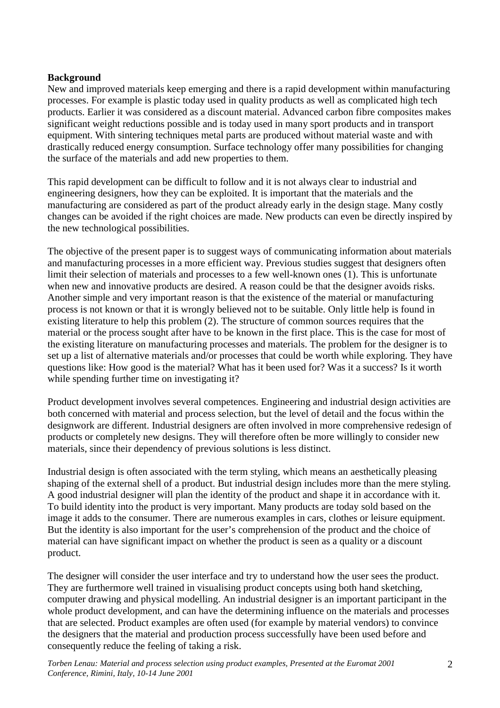# **Background**

New and improved materials keep emerging and there is a rapid development within manufacturing processes. For example is plastic today used in quality products as well as complicated high tech products. Earlier it was considered as a discount material. Advanced carbon fibre composites makes significant weight reductions possible and is today used in many sport products and in transport equipment. With sintering techniques metal parts are produced without material waste and with drastically reduced energy consumption. Surface technology offer many possibilities for changing the surface of the materials and add new properties to them.

This rapid development can be difficult to follow and it is not always clear to industrial and engineering designers, how they can be exploited. It is important that the materials and the manufacturing are considered as part of the product already early in the design stage. Many costly changes can be avoided if the right choices are made. New products can even be directly inspired by the new technological possibilities.

The objective of the present paper is to suggest ways of communicating information about materials and manufacturing processes in a more efficient way. Previous studies suggest that designers often limit their selection of materials and processes to a few well-known ones (1). This is unfortunate when new and innovative products are desired. A reason could be that the designer avoids risks. Another simple and very important reason is that the existence of the material or manufacturing process is not known or that it is wrongly believed not to be suitable. Only little help is found in existing literature to help this problem (2). The structure of common sources requires that the material or the process sought after have to be known in the first place. This is the case for most of the existing literature on manufacturing processes and materials. The problem for the designer is to set up a list of alternative materials and/or processes that could be worth while exploring. They have questions like: How good is the material? What has it been used for? Was it a success? Is it worth while spending further time on investigating it?

Product development involves several competences. Engineering and industrial design activities are both concerned with material and process selection, but the level of detail and the focus within the designwork are different. Industrial designers are often involved in more comprehensive redesign of products or completely new designs. They will therefore often be more willingly to consider new materials, since their dependency of previous solutions is less distinct.

Industrial design is often associated with the term styling, which means an aesthetically pleasing shaping of the external shell of a product. But industrial design includes more than the mere styling. A good industrial designer will plan the identity of the product and shape it in accordance with it. To build identity into the product is very important. Many products are today sold based on the image it adds to the consumer. There are numerous examples in cars, clothes or leisure equipment. But the identity is also important for the user's comprehension of the product and the choice of material can have significant impact on whether the product is seen as a quality or a discount product.

The designer will consider the user interface and try to understand how the user sees the product. They are furthermore well trained in visualising product concepts using both hand sketching, computer drawing and physical modelling. An industrial designer is an important participant in the whole product development, and can have the determining influence on the materials and processes that are selected. Product examples are often used (for example by material vendors) to convince the designers that the material and production process successfully have been used before and consequently reduce the feeling of taking a risk.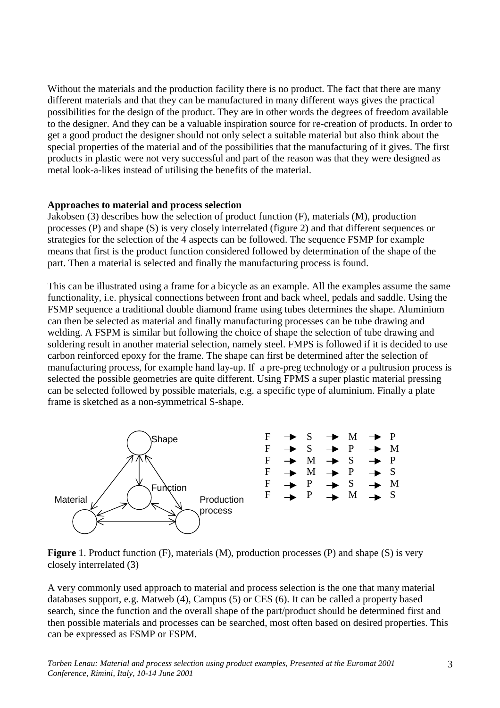Without the materials and the production facility there is no product. The fact that there are many different materials and that they can be manufactured in many different ways gives the practical possibilities for the design of the product. They are in other words the degrees of freedom available to the designer. And they can be a valuable inspiration source for re-creation of products. In order to get a good product the designer should not only select a suitable material but also think about the special properties of the material and of the possibilities that the manufacturing of it gives. The first products in plastic were not very successful and part of the reason was that they were designed as metal look-a-likes instead of utilising the benefits of the material.

#### **Approaches to material and process selection**

Jakobsen (3) describes how the selection of product function (F), materials (M), production processes (P) and shape (S) is very closely interrelated (figure 2) and that different sequences or strategies for the selection of the 4 aspects can be followed. The sequence FSMP for example means that first is the product function considered followed by determination of the shape of the part. Then a material is selected and finally the manufacturing process is found.

This can be illustrated using a frame for a bicycle as an example. All the examples assume the same functionality, i.e. physical connections between front and back wheel, pedals and saddle. Using the FSMP sequence a traditional double diamond frame using tubes determines the shape. Aluminium can then be selected as material and finally manufacturing processes can be tube drawing and welding. A FSPM is similar but following the choice of shape the selection of tube drawing and soldering result in another material selection, namely steel. FMPS is followed if it is decided to use carbon reinforced epoxy for the frame. The shape can first be determined after the selection of manufacturing process, for example hand lay-up. If a pre-preg technology or a pultrusion process is selected the possible geometries are quite different. Using FPMS a super plastic material pressing can be selected followed by possible materials, e.g. a specific type of aluminium. Finally a plate frame is sketched as a non-symmetrical S-shape.



**Figure** 1. Product function (F), materials (M), production processes (P) and shape (S) is very closely interrelated (3)

A very commonly used approach to material and process selection is the one that many material databases support, e.g. Matweb (4), Campus (5) or CES (6). It can be called a property based search, since the function and the overall shape of the part/product should be determined first and then possible materials and processes can be searched, most often based on desired properties. This can be expressed as FSMP or FSPM.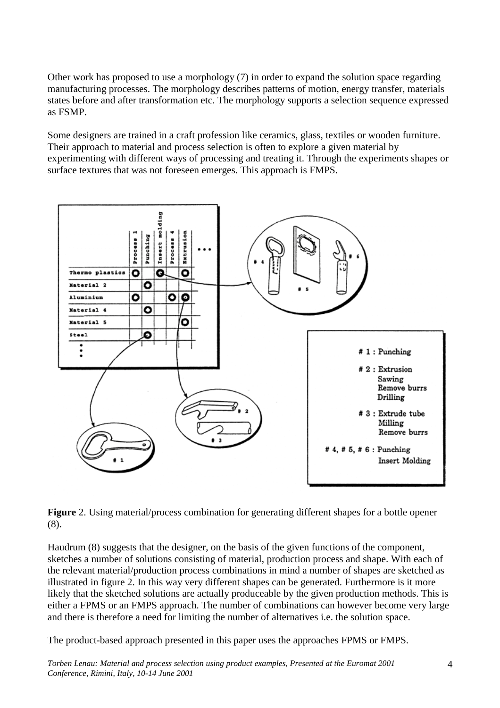Other work has proposed to use a morphology (7) in order to expand the solution space regarding manufacturing processes. The morphology describes patterns of motion, energy transfer, materials states before and after transformation etc. The morphology supports a selection sequence expressed as FSMP.

Some designers are trained in a craft profession like ceramics, glass, textiles or wooden furniture. Their approach to material and process selection is often to explore a given material by experimenting with different ways of processing and treating it. Through the experiments shapes or surface textures that was not foreseen emerges. This approach is FMPS.



**Figure** 2. Using material/process combination for generating different shapes for a bottle opener (8).

Haudrum (8) suggests that the designer, on the basis of the given functions of the component, sketches a number of solutions consisting of material, production process and shape. With each of the relevant material/production process combinations in mind a number of shapes are sketched as illustrated in figure 2. In this way very different shapes can be generated. Furthermore is it more likely that the sketched solutions are actually produceable by the given production methods. This is either a FPMS or an FMPS approach. The number of combinations can however become very large and there is therefore a need for limiting the number of alternatives i.e. the solution space.

The product-based approach presented in this paper uses the approaches FPMS or FMPS.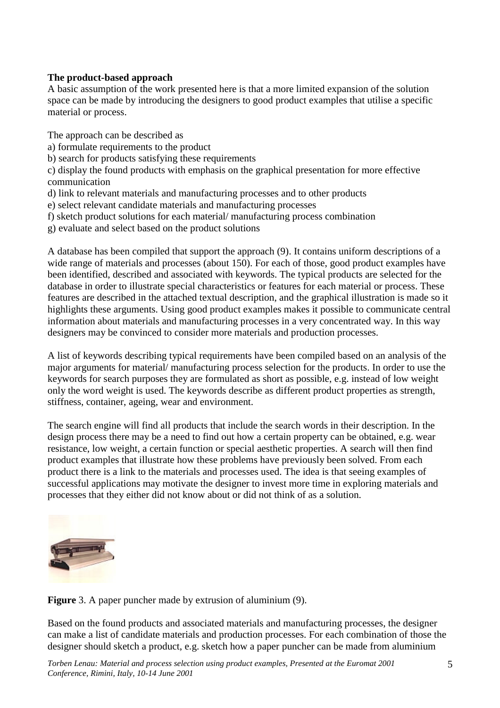# **The product-based approach**

A basic assumption of the work presented here is that a more limited expansion of the solution space can be made by introducing the designers to good product examples that utilise a specific material or process.

The approach can be described as

- a) formulate requirements to the product
- b) search for products satisfying these requirements

c) display the found products with emphasis on the graphical presentation for more effective communication

- d) link to relevant materials and manufacturing processes and to other products
- e) select relevant candidate materials and manufacturing processes
- f) sketch product solutions for each material/ manufacturing process combination
- g) evaluate and select based on the product solutions

A database has been compiled that support the approach (9). It contains uniform descriptions of a wide range of materials and processes (about 150). For each of those, good product examples have been identified, described and associated with keywords. The typical products are selected for the database in order to illustrate special characteristics or features for each material or process. These features are described in the attached textual description, and the graphical illustration is made so it highlights these arguments. Using good product examples makes it possible to communicate central information about materials and manufacturing processes in a very concentrated way. In this way designers may be convinced to consider more materials and production processes.

A list of keywords describing typical requirements have been compiled based on an analysis of the major arguments for material/ manufacturing process selection for the products. In order to use the keywords for search purposes they are formulated as short as possible, e.g. instead of low weight only the word weight is used. The keywords describe as different product properties as strength, stiffness, container, ageing, wear and environment.

The search engine will find all products that include the search words in their description. In the design process there may be a need to find out how a certain property can be obtained, e.g. wear resistance, low weight, a certain function or special aesthetic properties. A search will then find product examples that illustrate how these problems have previously been solved. From each product there is a link to the materials and processes used. The idea is that seeing examples of successful applications may motivate the designer to invest more time in exploring materials and processes that they either did not know about or did not think of as a solution.



**Figure** 3. A paper puncher made by extrusion of aluminium (9).

Based on the found products and associated materials and manufacturing processes, the designer can make a list of candidate materials and production processes. For each combination of those the designer should sketch a product, e.g. sketch how a paper puncher can be made from aluminium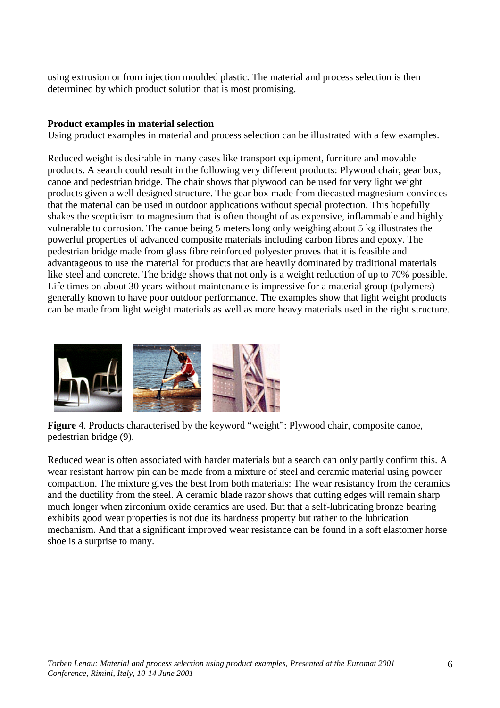using extrusion or from injection moulded plastic. The material and process selection is then determined by which product solution that is most promising.

#### **Product examples in material selection**

Using product examples in material and process selection can be illustrated with a few examples.

Reduced weight is desirable in many cases like transport equipment, furniture and movable products. A search could result in the following very different products: Plywood chair, gear box, canoe and pedestrian bridge. The chair shows that plywood can be used for very light weight products given a well designed structure. The gear box made from diecasted magnesium convinces that the material can be used in outdoor applications without special protection. This hopefully shakes the scepticism to magnesium that is often thought of as expensive, inflammable and highly vulnerable to corrosion. The canoe being 5 meters long only weighing about 5 kg illustrates the powerful properties of advanced composite materials including carbon fibres and epoxy. The pedestrian bridge made from glass fibre reinforced polyester proves that it is feasible and advantageous to use the material for products that are heavily dominated by traditional materials like steel and concrete. The bridge shows that not only is a weight reduction of up to 70% possible. Life times on about 30 years without maintenance is impressive for a material group (polymers) generally known to have poor outdoor performance. The examples show that light weight products can be made from light weight materials as well as more heavy materials used in the right structure.



**Figure** 4. Products characterised by the keyword "weight": Plywood chair, composite canoe, pedestrian bridge (9).

Reduced wear is often associated with harder materials but a search can only partly confirm this. A wear resistant harrow pin can be made from a mixture of steel and ceramic material using powder compaction. The mixture gives the best from both materials: The wear resistancy from the ceramics and the ductility from the steel. A ceramic blade razor shows that cutting edges will remain sharp much longer when zirconium oxide ceramics are used. But that a self-lubricating bronze bearing exhibits good wear properties is not due its hardness property but rather to the lubrication mechanism. And that a significant improved wear resistance can be found in a soft elastomer horse shoe is a surprise to many.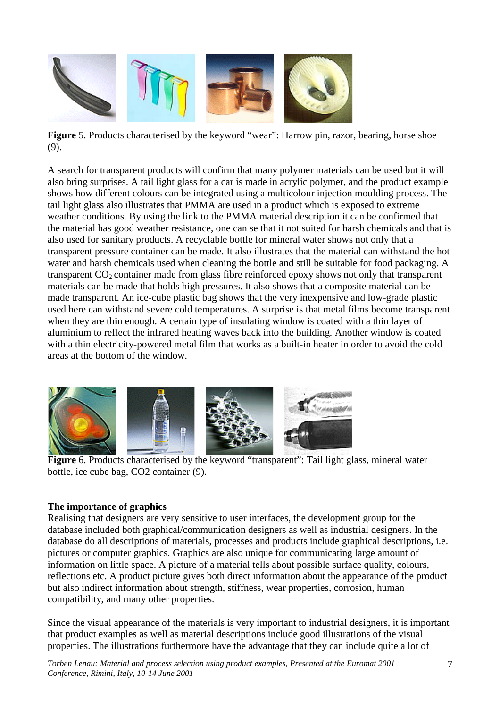

**Figure** 5. Products characterised by the keyword "wear": Harrow pin, razor, bearing, horse shoe (9).

A search for transparent products will confirm that many polymer materials can be used but it will also bring surprises. A tail light glass for a car is made in acrylic polymer, and the product example shows how different colours can be integrated using a multicolour injection moulding process. The tail light glass also illustrates that PMMA are used in a product which is exposed to extreme weather conditions. By using the link to the PMMA material description it can be confirmed that the material has good weather resistance, one can se that it not suited for harsh chemicals and that is also used for sanitary products. A recyclable bottle for mineral water shows not only that a transparent pressure container can be made. It also illustrates that the material can withstand the hot water and harsh chemicals used when cleaning the bottle and still be suitable for food packaging. A transparent  $CO<sub>2</sub>$  container made from glass fibre reinforced epoxy shows not only that transparent materials can be made that holds high pressures. It also shows that a composite material can be made transparent. An ice-cube plastic bag shows that the very inexpensive and low-grade plastic used here can withstand severe cold temperatures. A surprise is that metal films become transparent when they are thin enough. A certain type of insulating window is coated with a thin layer of aluminium to reflect the infrared heating waves back into the building. Another window is coated with a thin electricity-powered metal film that works as a built-in heater in order to avoid the cold areas at the bottom of the window.



**Figure** 6. Products characterised by the keyword "transparent": Tail light glass, mineral water bottle, ice cube bag, CO2 container (9).

# **The importance of graphics**

Realising that designers are very sensitive to user interfaces, the development group for the database included both graphical/communication designers as well as industrial designers. In the database do all descriptions of materials, processes and products include graphical descriptions, i.e. pictures or computer graphics. Graphics are also unique for communicating large amount of information on little space. A picture of a material tells about possible surface quality, colours, reflections etc. A product picture gives both direct information about the appearance of the product but also indirect information about strength, stiffness, wear properties, corrosion, human compatibility, and many other properties.

Since the visual appearance of the materials is very important to industrial designers, it is important that product examples as well as material descriptions include good illustrations of the visual properties. The illustrations furthermore have the advantage that they can include quite a lot of